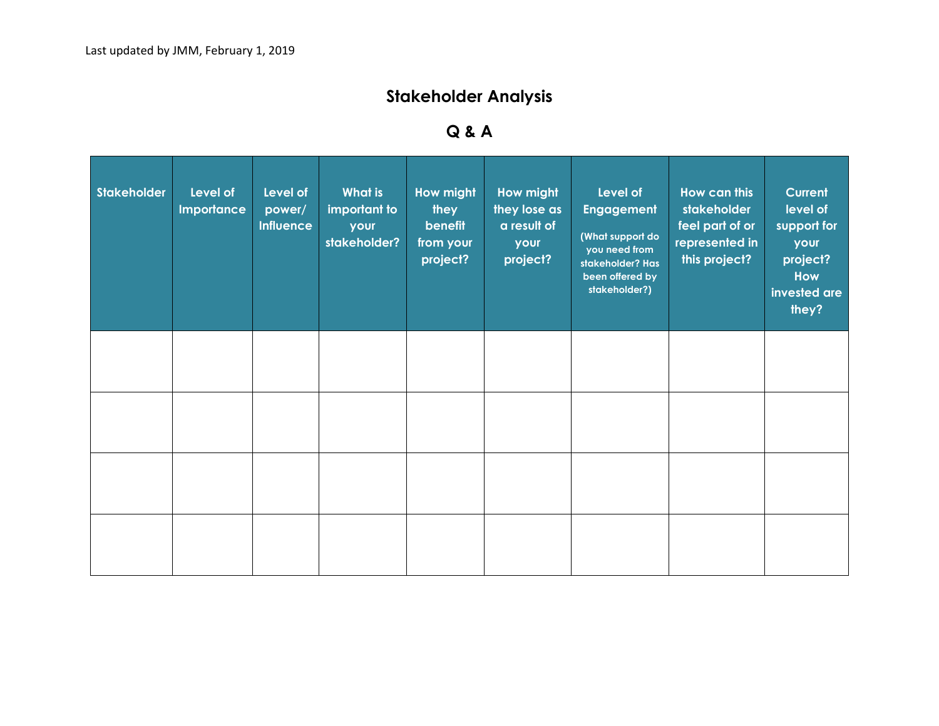## **Stakeholder Analysis**

## **Q & A**

| Stakeholder | Level of<br><b>Importance</b> | Level of<br>power/<br><b>Influence</b> | <b>What is</b><br>important to<br>your<br>stakeholder? | <b>How might</b><br>they<br>benefit<br>from your<br>project? | How might<br>they lose as<br>a result of<br>your<br>project? | Level of<br><b>Engagement</b><br>(What support do<br>you need from<br>stakeholder? Has<br>been offered by<br>stakeholder?) | <b>How can this</b><br>stakeholder<br>feel part of or<br>represented in<br>this project? | Current<br>level of<br>support for<br>your<br>project?<br>How<br>invested are<br>they? |
|-------------|-------------------------------|----------------------------------------|--------------------------------------------------------|--------------------------------------------------------------|--------------------------------------------------------------|----------------------------------------------------------------------------------------------------------------------------|------------------------------------------------------------------------------------------|----------------------------------------------------------------------------------------|
|             |                               |                                        |                                                        |                                                              |                                                              |                                                                                                                            |                                                                                          |                                                                                        |
|             |                               |                                        |                                                        |                                                              |                                                              |                                                                                                                            |                                                                                          |                                                                                        |
|             |                               |                                        |                                                        |                                                              |                                                              |                                                                                                                            |                                                                                          |                                                                                        |
|             |                               |                                        |                                                        |                                                              |                                                              |                                                                                                                            |                                                                                          |                                                                                        |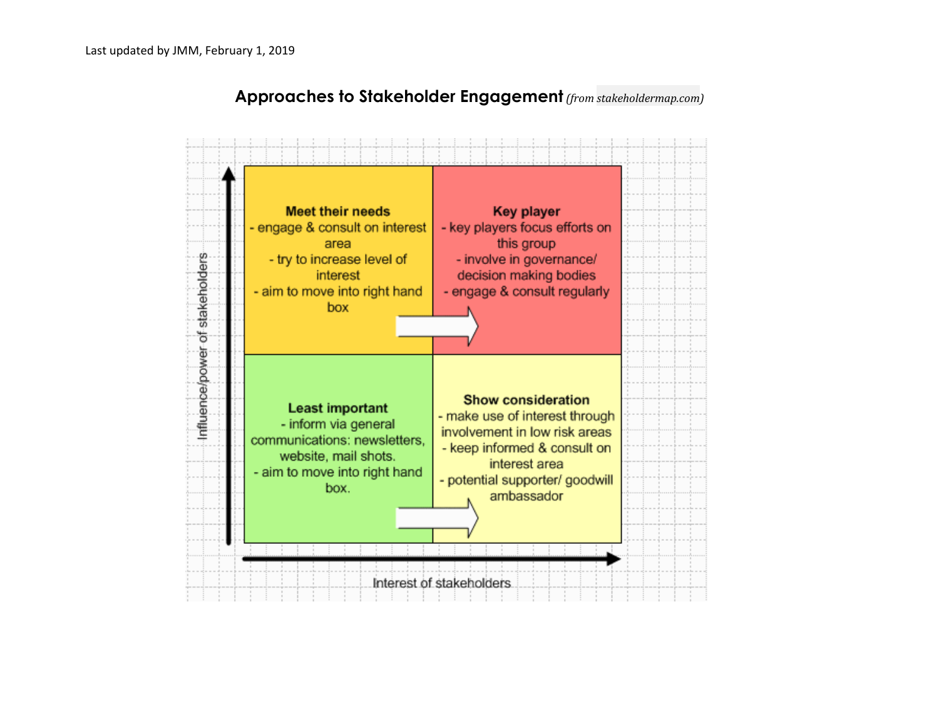

## **Approaches to Stakeholder Engagement** *(fro[m stakeholdermap.com\)](http://stakeholdermap.com/stakeholder-analysis.html)*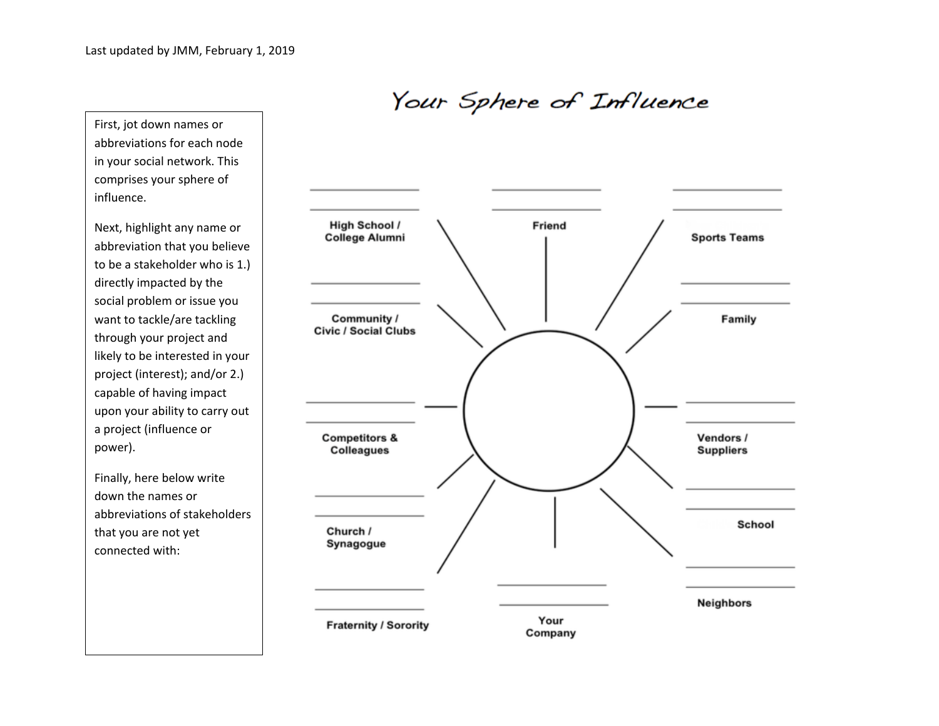Your Sphere of Influence

First, jot down names or abbreviations for each node in your social network. This comprises your sphere of influence.

Next, highlight any name or abbreviation that you believe to be a stakeholder who is 1.) directly impacted by the social problem or issue you want to tackle/are tackling through your project and likely to be interested in your project (interest); and/or 2.) capable of having impact upon your ability to carry out a project (influence or power).

Finally, here below write down the names or abbreviations of stakeholders that you are not yet connected with: